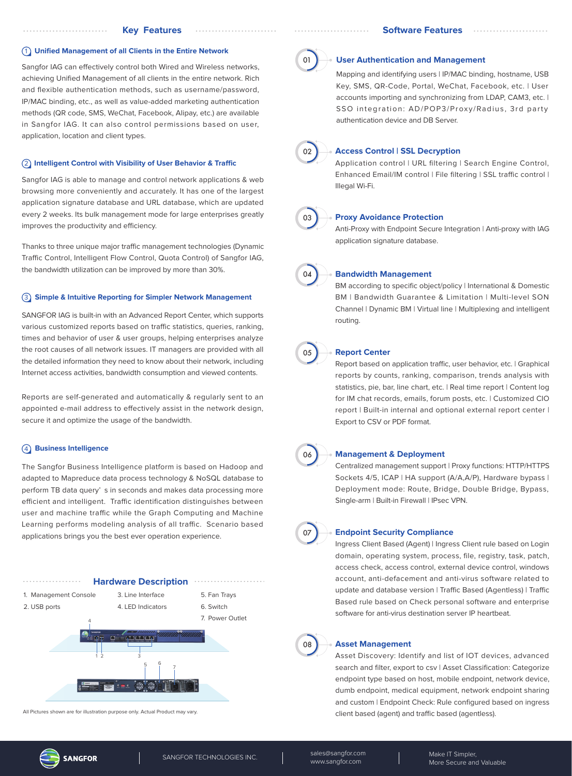### 1 **Unified Management of all Clients in the Entire Network**

Sangfor IAG can effectively control both Wired and Wireless networks, achieving Unified Management of all clients in the entire network. Rich and flexible authentication methods, such as username/password, IP/MAC binding, etc., as well as value-added marketing authentication methods (QR code, SMS, WeChat, Facebook, Alipay, etc.) are available in Sangfor IAG. It can also control permissions based on user, application, location and client types.

## **(2) Intelligent Control with Visibility of User Behavior & Traffic**

Sangfor IAG is able to manage and control network applications & web browsing more conveniently and accurately. It has one of the largest application signature database and URL database, which are updated every 2 weeks. Its bulk management mode for large enterprises greatly improves the productivity and efficiency.

Thanks to three unique major traffic management technologies (Dynamic Traffic Control, Intelligent Flow Control, Quota Control) of Sangfor IAG, the bandwidth utilization can be improved by more than 30%.

### 3 **Simple & Intuitive Reporting for Simpler Network Management**

SANGFOR IAG is built-in with an Advanced Report Center, which supports various customized reports based on traffic statistics, queries, ranking, times and behavior of user & user groups, helping enterprises analyze the root causes of all network issues. IT managers are provided with all the detailed information they need to know about their network, including Internet access activities, bandwidth consumption and viewed contents.

Reports are self-generated and automatically & regularly sent to an appointed e-mail address to effectively assist in the network design, secure it and optimize the usage of the bandwidth.

# 4 **Business Intelligence**

The Sangfor Business Intelligence platform is based on Hadoop and adapted to Mapreduce data process technology & NoSQL database to perform TB data query' s in seconds and makes data processing more efficient and intelligent. Traffic identification distinguishes between user and machine traffic while the Graph Computing and Machine Learning performs modeling analysis of all traffic. Scenario based applications brings you the best ever operation experience.



All Pictures shown are for illustration purpose only. Actual Product may vary.



#### **User Authentication and Management**

Mapping and identifying users | IP/MAC binding, hostname, USB Key, SMS, QR-Code, Portal, WeChat, Facebook, etc. | User accounts importing and synchronizing from LDAP, CAM3, etc. | SSO integration: AD/POP3/Proxy/Radius, 3rd party authentication device and DB Server.



## **Access Control | SSL Decryption**

Application control | URL filtering | Search Engine Control, Enhanced Email/IM control | File filtering | SSL traffic control | Illegal Wi-Fi.



### **Proxy Avoidance Protection**

Anti-Proxy with Endpoint Secure Integration | Anti-proxy with IAG application signature database.



#### **Bandwidth Management**

BM according to specific object/policy | International & Domestic BM | Bandwidth Guarantee & Limitation | Multi-level SON Channel | Dynamic BM | Virtual line | Multiplexing and intelligent routing.



#### **Report Center**

Report based on application traffic, user behavior, etc. | Graphical reports by counts, ranking, comparison, trends analysis with statistics, pie, bar, line chart, etc. | Real time report | Content log for IM chat records, emails, forum posts, etc. | Customized CIO report | Built-in internal and optional external report center | Export to CSV or PDF format.



#### **Management & Deployment**

Centralized management support | Proxy functions: HTTP/HTTPS Sockets 4/5, ICAP | HA support (A/A,A/P), Hardware bypass | Deployment mode: Route, Bridge, Double Bridge, Bypass, Single-arm | Built-in Firewall | IPsec VPN.



### **Endpoint Security Compliance**

Ingress Client Based (Agent) | Ingress Client rule based on Login domain, operating system, process, file, registry, task, patch, access check, access control, external device control, windows account, anti-defacement and anti-virus software related to update and database version | Traffic Based (Agentless) | Traffic Based rule based on Check personal software and enterprise software for anti-virus destination server IP heartbeat.



#### **Asset Management**

Asset Discovery: Identify and list of IOT devices, advanced search and filter, export to csv | Asset Classification: Categorize endpoint type based on host, mobile endpoint, network device, dumb endpoint, medical equipment, network endpoint sharing and custom | Endpoint Check: Rule configured based on ingress client based (agent) and traffic based (agentless).